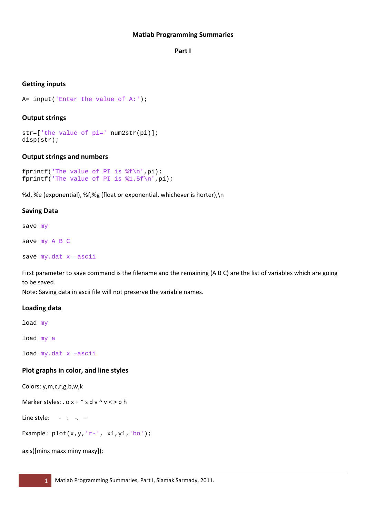#### **Matlab Programming Summaries**

#### **Part I**

#### **Getting inputs**

A= input('Enter the value of A:');

#### **Output strings**

str=['the value of pi=' num2str(pi)]; disp(str);

#### **Output strings and numbers**

fprintf('The value of PI is  $f\n'$ ,pi); fprintf('The value of PI is %1.5f\n',pi);

%d, %e (exponential), %f,%g (float or exponential, whichever is horter),\n

#### **Saving Data**

save my

save my A B C

save my.dat x –ascii

First parameter to save command is the filename and the remaining (A B C) are the list of variables which are going to be saved.

Note: Saving data in ascii file will not preserve the variable names.

#### **Loading data**

load my

load my a

load my.dat x –ascii

### **Plot graphs in color, and line styles**

Colors: y,m,c,r,g,b,w,k

Marker styles: .  $x + * s$  d v ^ v < > p h

Line style:  $-$  :  $-$ 

Example:  $plot(x,y,'r-', x1,y1,'bo');$ 

```
axis([minx maxx miny maxy]);
```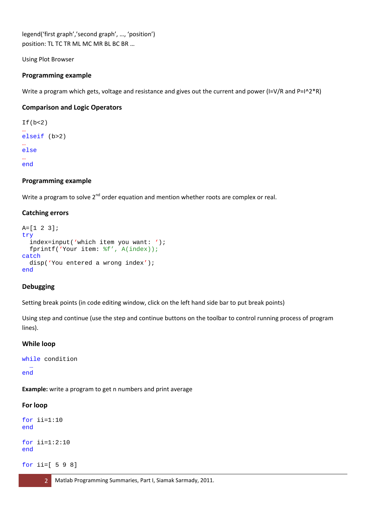legend('first graph','second graph', …, 'position') position: TL TC TR ML MC MR BL BC BR …

Using Plot Browser

## **Programming example**

Write a program which gets, voltage and resistance and gives out the current and power (I=V/R and P=I^2\*R)

### **Comparison and Logic Operators**

```
If(b < 2)…
elseif (b>2)
…
else
…
end
```
### **Programming example**

Write a program to solve  $2^{nd}$  order equation and mention whether roots are complex or real.

### **Catching errors**

```
A=[1 2 3];
try
   index=input('which item you want: ');
  fprintf('Your item: %f', A(index));
catch
  disp('You entered a wrong index');
end
```
### **Debugging**

Setting break points (in code editing window, click on the left hand side bar to put break points)

Using step and continue (use the step and continue buttons on the toolbar to control running process of program lines).

### **While loop**

```
while condition
 … 
end
```
**Example:** write a program to get n numbers and print average

### **For loop**

```
for ii=1:10
end
for i = 1:2:10end
```
for ii=[ 5 9 8]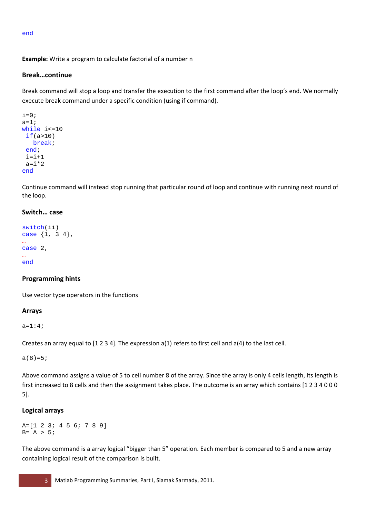end

# **Example:** Write a program to calculate factorial of a number n

# **Break…continue**

Break command will stop a loop and transfer the execution to the first command after the loop's end. We normally execute break command under a specific condition (using if command).

```
i=0;a=1;while i<=10
 if(a>10) break;
 end;
 i=i+1a=i*2end
```
Continue command will instead stop running that particular round of loop and continue with running next round of the loop.

## **Switch… case**

```
switch(ii)
case {1, 3 4},
…
case 2,
…
end
```
## **Programming hints**

Use vector type operators in the functions

## **Arrays**

 $a=1:4;$ 

Creates an array equal to [1 2 3 4]. The expression a(1) refers to first cell and a(4) to the last cell.

 $a(8)=5;$ 

Above command assigns a value of 5 to cell number 8 of the array. Since the array is only 4 cells length, its length is first increased to 8 cells and then the assignment takes place. The outcome is an array which contains [1 2 3 4 0 0 0 5].

## **Logical arrays**

A=[1 2 3; 4 5 6; 7 8 9]  $B = A > 5;$ 

The above command is a array logical "bigger than 5" operation. Each member is compared to 5 and a new array containing logical result of the comparison is built.